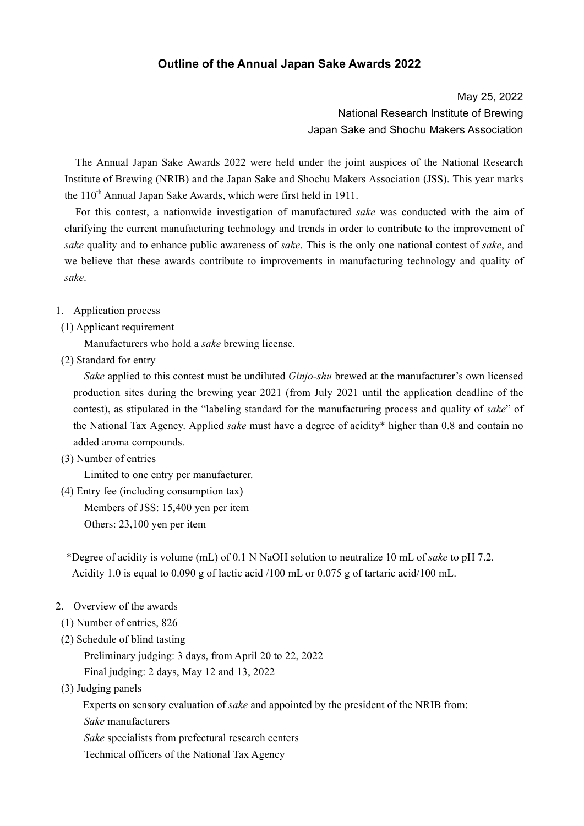## **Outline of the Annual Japan Sake Awards 2022**

May 25, 2022 National Research Institute of Brewing Japan Sake and Shochu Makers Association

 The Annual Japan Sake Awards 2022 were held under the joint auspices of the National Research Institute of Brewing (NRIB) and the Japan Sake and Shochu Makers Association (JSS). This year marks the 110<sup>th</sup> Annual Japan Sake Awards, which were first held in 1911.

 For this contest, a nationwide investigation of manufactured *sake* was conducted with the aim of clarifying the current manufacturing technology and trends in order to contribute to the improvement of *sake* quality and to enhance public awareness of *sake*. This is the only one national contest of *sake*, and we believe that these awards contribute to improvements in manufacturing technology and quality of *sake*.

## 1. Application process

## (1) Applicant requirement

Manufacturers who hold a *sake* brewing license.

(2) Standard for entry

 *Sake* applied to this contest must be undiluted *Ginjo-shu* brewed at the manufacturer's own licensed production sites during the brewing year 2021 (from July 2021 until the application deadline of the contest), as stipulated in the "labeling standard for the manufacturing process and quality of *sake*" of the National Tax Agency. Applied *sake* must have a degree of acidity\* higher than 0.8 and contain no added aroma compounds.

(3) Number of entries

Limited to one entry per manufacturer.

 (4) Entry fee (including consumption tax) Members of JSS: 15,400 yen per item Others: 23,100 yen per item

\*Degree of acidity is volume (mL) of 0.1 N NaOH solution to neutralize 10 mL of *sake* to pH 7.2. Acidity 1.0 is equal to 0.090 g of lactic acid /100 mL or 0.075 g of tartaric acid/100 mL.

- 2. Overview of the awards
- (1) Number of entries, 826
- (2) Schedule of blind tasting

Preliminary judging: 3 days, from April 20 to 22, 2022

Final judging: 2 days, May 12 and 13, 2022

(3) Judging panels

Experts on sensory evaluation of *sake* and appointed by the president of the NRIB from:

*Sake* manufacturers

 *Sake* specialists from prefectural research centers

Technical officers of the National Tax Agency